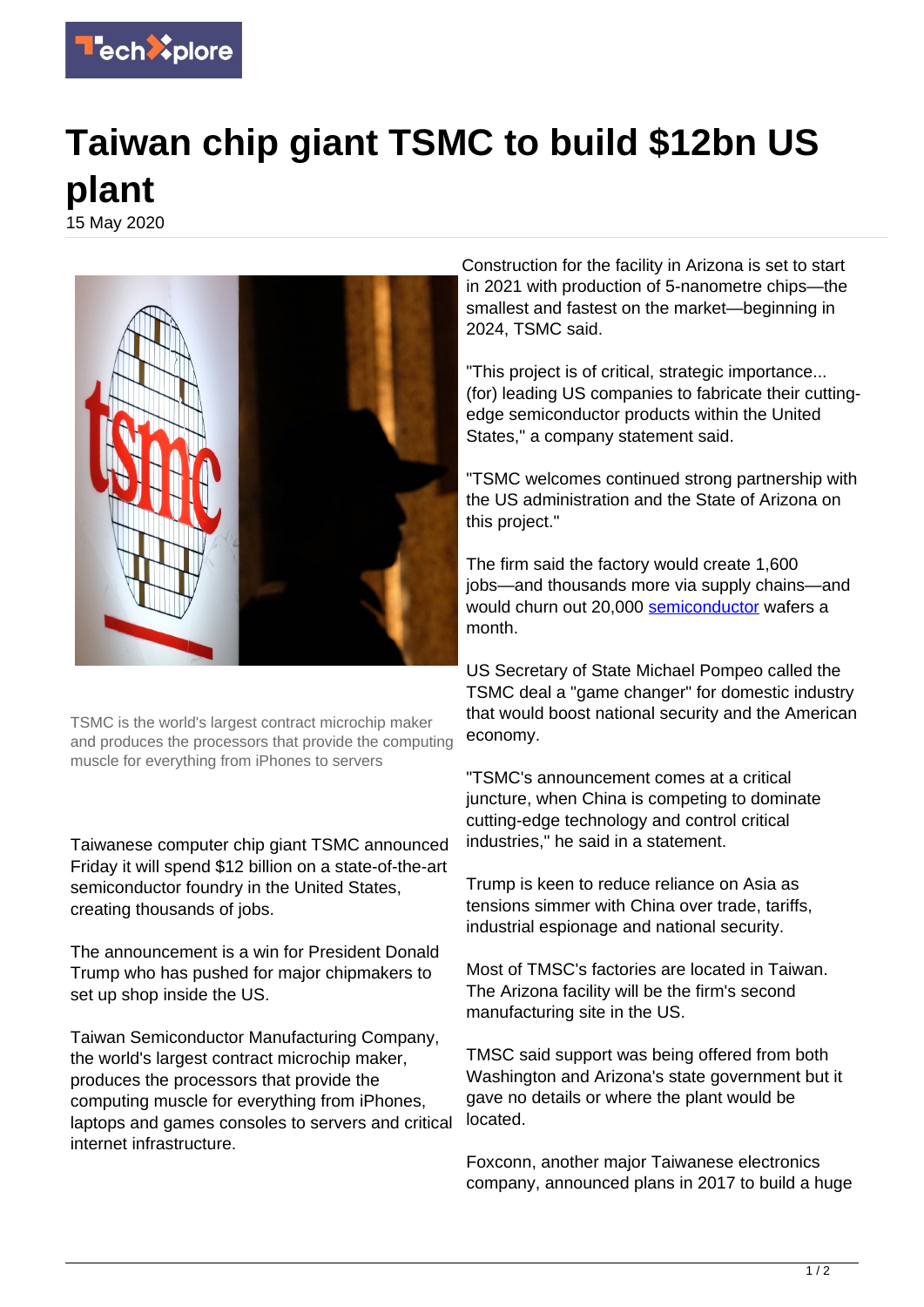

## **Taiwan chip giant TSMC to build \$12bn US plant**

15 May 2020



TSMC is the world's largest contract microchip maker and produces the processors that provide the computing muscle for everything from iPhones to servers

Taiwanese computer chip giant TSMC announced Friday it will spend \$12 billion on a state-of-the-art semiconductor foundry in the United States, creating thousands of jobs.

The announcement is a win for President Donald Trump who has pushed for major chipmakers to set up shop inside the US.

Taiwan Semiconductor Manufacturing Company, the world's largest contract microchip maker, produces the processors that provide the computing muscle for everything from iPhones, laptops and games consoles to servers and critical internet infrastructure.

Construction for the facility in Arizona is set to start in 2021 with production of 5-nanometre chips—the smallest and fastest on the market—beginning in 2024, TSMC said.

"This project is of critical, strategic importance... (for) leading US companies to fabricate their cuttingedge semiconductor products within the United States," a company statement said.

"TSMC welcomes continued strong partnership with the US administration and the State of Arizona on this project."

The firm said the factory would create 1,600 jobs—and thousands more via supply chains—and would churn out 20,000 [semiconductor](https://techxplore.com/tags/semiconductor/) wafers a month.

US Secretary of State Michael Pompeo called the TSMC deal a "game changer" for domestic industry that would boost national security and the American economy.

"TSMC's announcement comes at a critical juncture, when China is competing to dominate cutting-edge technology and control critical industries," he said in a statement.

Trump is keen to reduce reliance on Asia as tensions simmer with China over trade, tariffs, industrial espionage and national security.

Most of TMSC's factories are located in Taiwan. The Arizona facility will be the firm's second manufacturing site in the US.

TMSC said support was being offered from both Washington and Arizona's state government but it gave no details or where the plant would be located.

Foxconn, another major Taiwanese electronics company, announced plans in 2017 to build a huge